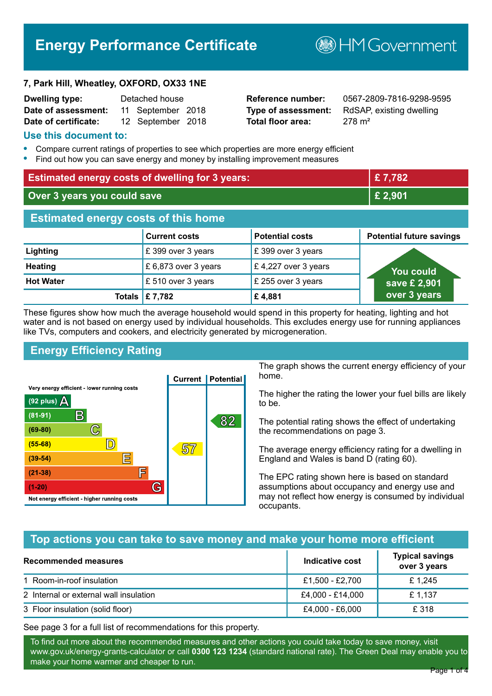# **Energy Performance Certificate**

**7, Park Hill, Wheatley, OXFORD, OX33 1NE**

| <b>Dwelling type:</b> | Detached house |                   |  |
|-----------------------|----------------|-------------------|--|
| Date of assessment:   |                | 11 September 2018 |  |
| Date of certificate:  |                | 12 September 2018 |  |

# **Total floor area:** 278 m<sup>2</sup>

**Reference number:** 0567-2809-7816-9298-9595 **Type of assessment:** RdSAP, existing dwelling

**B**HM Government

#### **Use this document to:**

- **•** Compare current ratings of properties to see which properties are more energy efficient
- **•** Find out how you can save energy and money by installing improvement measures

| <b>Estimated energy costs of dwelling for 3 years:</b> |                           |                        | £7,782                          |
|--------------------------------------------------------|---------------------------|------------------------|---------------------------------|
| Over 3 years you could save                            |                           | £ 2,901                |                                 |
| <b>Estimated energy costs of this home</b>             |                           |                        |                                 |
|                                                        | <b>Current costs</b>      | <b>Potential costs</b> | <b>Potential future savings</b> |
| Lighting                                               | £399 over 3 years         | £ 399 over 3 years     |                                 |
| <b>Heating</b>                                         | £ 6,873 over 3 years      | £4,227 over 3 years    | <b>You could</b>                |
| <b>Hot Water</b>                                       | £ 510 over 3 years        | £ 255 over 3 years     | save £ 2,901                    |
|                                                        | Totals $\mathsf{E}$ 7,782 | £4,881                 | over 3 years                    |

These figures show how much the average household would spend in this property for heating, lighting and hot water and is not based on energy used by individual households. This excludes energy use for running appliances like TVs, computers and cookers, and electricity generated by microgeneration.

# **Energy Efficiency Rating**



The graph shows the current energy efficiency of your home.

The higher the rating the lower your fuel bills are likely to be.

The potential rating shows the effect of undertaking the recommendations on page 3.

The average energy efficiency rating for a dwelling in England and Wales is band D (rating 60).

The EPC rating shown here is based on standard assumptions about occupancy and energy use and may not reflect how energy is consumed by individual occupants.

## **Top actions you can take to save money and make your home more efficient**

| Recommended measures                   | Indicative cost  | <b>Typical savings</b><br>over 3 years |
|----------------------------------------|------------------|----------------------------------------|
| 1 Room-in-roof insulation              | £1,500 - £2,700  | £1.245                                 |
| 2 Internal or external wall insulation | £4,000 - £14,000 | £ 1.137                                |
| 3 Floor insulation (solid floor)       | £4,000 - £6,000  | £ 318                                  |

See page 3 for a full list of recommendations for this property.

To find out more about the recommended measures and other actions you could take today to save money, visit www.gov.uk/energy-grants-calculator or call **0300 123 1234** (standard national rate). The Green Deal may enable you to make your home warmer and cheaper to run.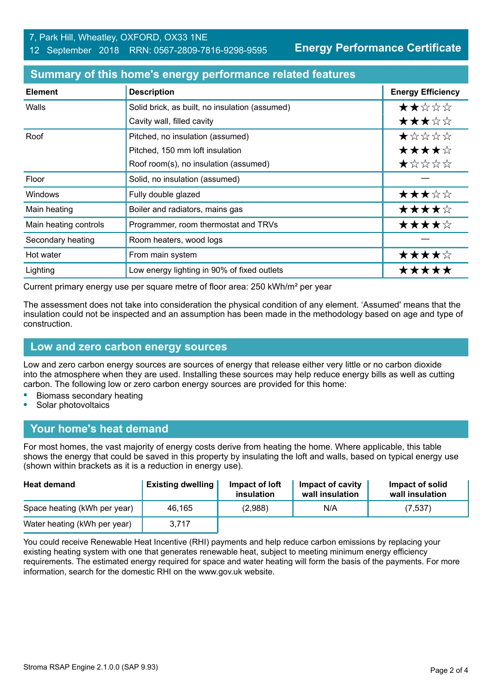**Energy Performance Certificate**

| <b>Element</b>        | <b>Description</b>                             | <b>Energy Efficiency</b> |
|-----------------------|------------------------------------------------|--------------------------|
| Walls                 | Solid brick, as built, no insulation (assumed) | ★★☆☆☆                    |
|                       | Cavity wall, filled cavity                     | ★★★☆☆                    |
| Roof                  | Pitched, no insulation (assumed)               | *****                    |
|                       | Pitched, 150 mm loft insulation                | ★★★★☆                    |
|                       | Roof room(s), no insulation (assumed)          | ★☆☆☆☆                    |
| Floor                 | Solid, no insulation (assumed)                 |                          |
| Windows               | Fully double glazed                            | ★★★☆☆                    |
| Main heating          | Boiler and radiators, mains gas                | ★★★★☆                    |
| Main heating controls | Programmer, room thermostat and TRVs           | ★★★★☆                    |
| Secondary heating     | Room heaters, wood logs                        |                          |
| Hot water             | From main system                               | ★★★★☆                    |
| Lighting              | Low energy lighting in 90% of fixed outlets    | *****                    |

#### **Summary of this home's energy performance related features**

Current primary energy use per square metre of floor area: 250 kWh/m² per year

The assessment does not take into consideration the physical condition of any element. 'Assumed' means that the insulation could not be inspected and an assumption has been made in the methodology based on age and type of construction.

#### **Low and zero carbon energy sources**

Low and zero carbon energy sources are sources of energy that release either very little or no carbon dioxide into the atmosphere when they are used. Installing these sources may help reduce energy bills as well as cutting carbon. The following low or zero carbon energy sources are provided for this home:

- **•** Biomass secondary heating
- **•** Solar photovoltaics

## **Your home's heat demand**

For most homes, the vast majority of energy costs derive from heating the home. Where applicable, this table shows the energy that could be saved in this property by insulating the loft and walls, based on typical energy use (shown within brackets as it is a reduction in energy use).

| <b>Heat demand</b>           | <b>Existing dwelling</b> | Impact of loft<br>insulation | Impact of cavity<br>wall insulation | Impact of solid<br>wall insulation |
|------------------------------|--------------------------|------------------------------|-------------------------------------|------------------------------------|
| Space heating (kWh per year) | 46.165                   | (2,988)                      | N/A                                 | (7, 537)                           |
| Water heating (kWh per year) | 3.717                    |                              |                                     |                                    |

You could receive Renewable Heat Incentive (RHI) payments and help reduce carbon emissions by replacing your existing heating system with one that generates renewable heat, subject to meeting minimum energy efficiency requirements. The estimated energy required for space and water heating will form the basis of the payments. For more information, search for the domestic RHI on the www.gov.uk website.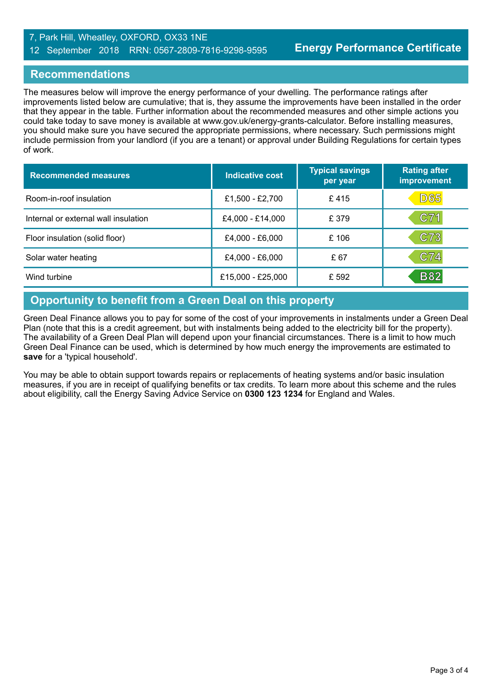#### 7, Park Hill, Wheatley, OXFORD, OX33 1NE 12 September 2018 RRN: 0567-2809-7816-9298-9595

#### **Recommendations**

The measures below will improve the energy performance of your dwelling. The performance ratings after improvements listed below are cumulative; that is, they assume the improvements have been installed in the order that they appear in the table. Further information about the recommended measures and other simple actions you could take today to save money is available at www.gov.uk/energy-grants-calculator. Before installing measures, you should make sure you have secured the appropriate permissions, where necessary. Such permissions might include permission from your landlord (if you are a tenant) or approval under Building Regulations for certain types of work.

| <b>Recommended measures</b>          | Indicative cost   | <b>Typical savings</b><br>per year | <b>Rating after</b><br>improvement |
|--------------------------------------|-------------------|------------------------------------|------------------------------------|
| Room-in-roof insulation              | £1,500 - £2,700   | £415                               | <b>D65</b>                         |
| Internal or external wall insulation | £4,000 - £14,000  | £ 379                              | C71                                |
| Floor insulation (solid floor)       | £4,000 - £6,000   | £106                               | C73                                |
| Solar water heating                  | £4,000 - £6,000   | £ 67                               | C74                                |
| Wind turbine                         | £15,000 - £25,000 | £ 592                              | <b>B82</b>                         |

# **Opportunity to benefit from a Green Deal on this property**

Green Deal Finance allows you to pay for some of the cost of your improvements in instalments under a Green Deal Plan (note that this is a credit agreement, but with instalments being added to the electricity bill for the property). The availability of a Green Deal Plan will depend upon your financial circumstances. There is a limit to how much Green Deal Finance can be used, which is determined by how much energy the improvements are estimated to **save** for a 'typical household'.

You may be able to obtain support towards repairs or replacements of heating systems and/or basic insulation measures, if you are in receipt of qualifying benefits or tax credits. To learn more about this scheme and the rules about eligibility, call the Energy Saving Advice Service on **0300 123 1234** for England and Wales.